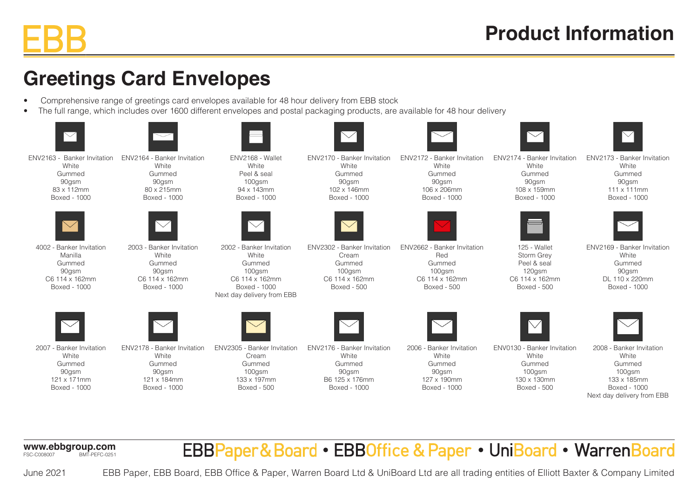## **Greetings Card Envelopes**

- Comprehensive range of greetings card envelopes available for 48 hour delivery from EBB stock
- The full range, which includes over 1600 different envelopes and postal packaging products, are available for 48 hour delivery

| $\bigtriangledown$                                                                       |                                                                                        | $\sim$                                                                                                                |                                                                                           |                                                                                         | $\smile$                                                                                    | $\bigvee$                                                                                                          |
|------------------------------------------------------------------------------------------|----------------------------------------------------------------------------------------|-----------------------------------------------------------------------------------------------------------------------|-------------------------------------------------------------------------------------------|-----------------------------------------------------------------------------------------|---------------------------------------------------------------------------------------------|--------------------------------------------------------------------------------------------------------------------|
| ENV2163 - Banker Invitation<br>White<br>Gummed<br>90gsm<br>83 x 112mm<br>Boxed - 1000    | ENV2164 - Banker Invitation<br>White<br>Gummed<br>90gsm<br>80 x 215mm<br>Boxed - 1000  | ENV2168 - Wallet<br>White<br>Peel & seal<br>100gsm<br>94 x 143mm<br>Boxed - 1000                                      | ENV2170 - Banker Invitation<br>White<br>Gummed<br>90gsm<br>102 x 146mm<br>Boxed - 1000    | ENV2172 - Banker Invitation<br>White<br>Gummed<br>90gsm<br>106 x 206mm<br>Boxed - 1000  | ENV2174 - Banker Invitation<br>White<br>Gummed<br>90gsm<br>108 x 159mm<br>Boxed - 1000      | ENV2173 - Banker Invitation<br>White<br>Gummed<br>90gsm<br>111 x 111mm<br>Boxed - 1000                             |
|                                                                                          |                                                                                        | $\bigvee$                                                                                                             |                                                                                           |                                                                                         |                                                                                             |                                                                                                                    |
| 4002 - Banker Invitation<br>Manilla<br>Gummed<br>90gsm<br>C6 114 x 162mm<br>Boxed - 1000 | 2003 - Banker Invitation<br>White<br>Gummed<br>90gsm<br>C6 114 x 162mm<br>Boxed - 1000 | 2002 - Banker Invitation<br>White<br>Gummed<br>100gsm<br>C6 114 x 162mm<br>Boxed - 1000<br>Next day delivery from EBB | ENV2302 - Banker Invitation<br>Cream<br>Gummed<br>100gsm<br>C6 114 x 162mm<br>Boxed - 500 | ENV2662 - Banker Invitation<br>Red<br>Gummed<br>100gsm<br>C6 114 x 162mm<br>Boxed - 500 | 125 - Wallet<br><b>Storm Grev</b><br>Peel & seal<br>120gsm<br>C6 114 x 162mm<br>Boxed - 500 | ENV2169 - Banker Invitation<br>White<br>Gummed<br>90gsm<br>DL 110 x 220mm<br>Boxed - 1000                          |
|                                                                                          |                                                                                        |                                                                                                                       |                                                                                           |                                                                                         | $\bigvee$                                                                                   |                                                                                                                    |
| 2007 - Banker Invitation<br>White<br>Gummed<br>90gsm<br>121 x 171mm<br>Boxed - 1000      | ENV2178 - Banker Invitation<br>White<br>Gummed<br>90gsm<br>121 x 184mm<br>Boxed - 1000 | ENV2305 - Banker Invitation<br>Cream<br>Gummed<br>$100$ gsm<br>133 x 197mm<br>Boxed - 500                             | ENV2176 - Banker Invitation<br>White<br>Gummed<br>90gsm<br>B6 125 x 176mm<br>Boxed - 1000 | 2006 - Banker Invitation<br>White<br>Gummed<br>90gsm<br>127 x 190mm<br>Boxed - 1000     | ENV0130 - Banker Invitation<br>White<br>Gummed<br>100gsm<br>130 x 130mm<br>Boxed - 500      | 2008 - Banker Invitation<br>White<br>Gummed<br>100gsm<br>133 x 185mm<br>Boxed - 1000<br>Next day delivery from EBB |

**www.ebbgroup.com** FSC-C008007 BMT-PEFC-0251

June 2021

EBBPaper&Board • EBBOffice & Paper • UniBoard • WarrenBoard